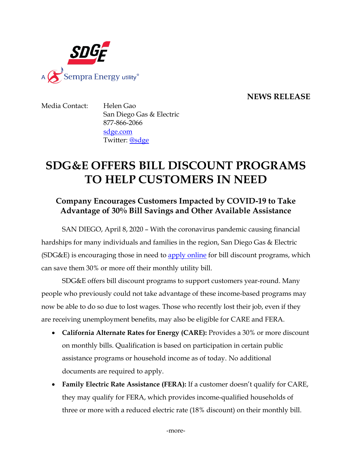

### **NEWS RELEASE**

Media Contact: Helen Gao San Diego Gas & Electric 877-866-2066 [sdge.com](http://www.sdge.com/) Twitter: [@sdge](http://twitter.com/#!/SDGE)

# **SDG&E OFFERS BILL DISCOUNT PROGRAMS TO HELP CUSTOMERS IN NEED**

## **Company Encourages Customers Impacted by COVID-19 to Take Advantage of 30% Bill Savings and Other Available Assistance**

SAN DIEGO, April 8, 2020 – With the coronavirus pandemic causing financial hardships for many individuals and families in the region, San Diego Gas & Electric (SDG&E) is encouraging those in need to **apply online** for bill discount programs, which can save them 30% or more off their monthly utility bill.

SDG&E offers bill discount programs to support customers year-round. Many people who previously could not take advantage of these income-based programs may now be able to do so due to lost wages. Those who recently lost their job, even if they are receiving unemployment benefits, may also be eligible for CARE and FERA.

- **California Alternate Rates for Energy (CARE):** Provides a 30% or more discount on monthly bills. Qualification is based on participation in certain public assistance programs or household income as of today. No additional documents are required to apply.
- **Family Electric Rate Assistance (FERA):** If a customer doesn't qualify for CARE, they may qualify for FERA, which provides income-qualified households of three or more with a reduced electric rate (18% discount) on their monthly bill.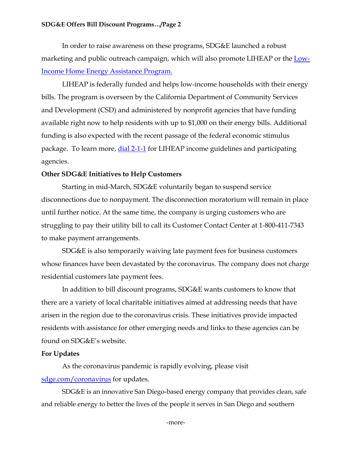#### **SDG&E Offers Bill Discount Programs…/Page 2**

In order to raise awareness on these programs, SDG&E launched a robust marketing and public outreach campaign, which will also promote LIHEAP or the [Low-](https://www.csd.ca.gov/Pages/LIHEAPProgram.aspx)[Income Home Energy Assistance Program.](https://www.csd.ca.gov/Pages/LIHEAPProgram.aspx)

LIHEAP is federally funded and helps low-income households with their energy bills. The program is overseen by the California Department of Community Services and Development (CSD) and administered by nonprofit agencies that have funding available right now to help residents with up to \$1,000 on their energy bills. Additional funding is also expected with the recent passage of the federal economic stimulus package. To learn more, [dial 2-1-1](https://211sandiego.org/) for LIHEAP income guidelines and participating agencies.

#### **Other SDG&E Initiatives to Help Customers**

Starting in mid-March, SDG&E voluntarily began to suspend service disconnections due to nonpayment. The disconnection moratorium will remain in place until further notice. At the same time, the company is urging customers who are struggling to pay their utility bill to call its Customer Contact Center at 1-800-411-7343 to make payment arrangements.

SDG&E is also temporarily waiving late payment fees for business customers whose finances have been devastated by the coronavirus. The company does not charge residential customers late payment fees.

In addition to bill discount programs, SDG&E wants customers to know that there are a variety of local charitable initiatives aimed at addressing needs that have arisen in the region due to the coronavirus crisis. These initiatives provide impacted residents with assistance for other emerging needs and links to these agencies can be found on SDG&E's website.

#### **For Updates**

As the coronavirus pandemic is rapidly evolving, please visit [sdge.com/coronavirus](https://www.sdge.com/coronavirus) for updates.

SDG&E is an innovative San Diego-based energy company that provides clean, safe and reliable energy to better the lives of the people it serves in San Diego and southern